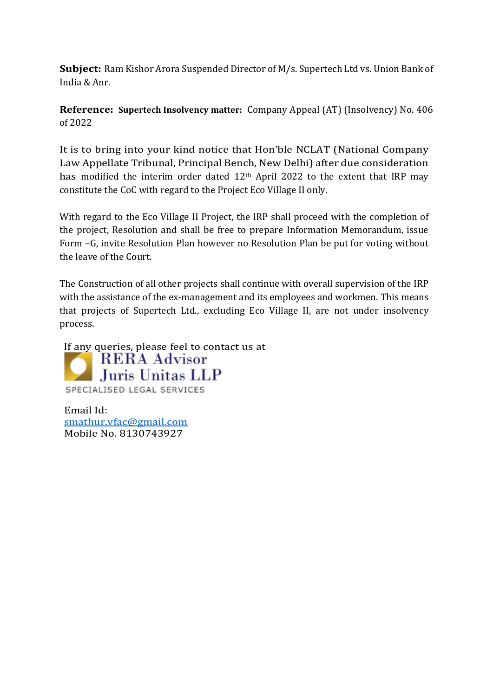**Subject:** Ram Kishor Arora Suspended Director of M/s. Supertech Ltd vs. Union Bank of India & Anr.

**Reference: Supertech Insolvency matter:** Company Appeal (AT) (Insolvency) No. 406 of 2022

It is to bring into your kind notice that Hon'ble NCLAT (National Company Law Appellate Tribunal, Principal Bench, New Delhi) after due consideration has modified the interim order dated 12th April 2022 to the extent that IRP may constitute the CoC with regard to the Project Eco Village II only.

With regard to the Eco Village II Project, the IRP shall proceed with the completion of the project, Resolution and shall be free to prepare Information Memorandum, issue Form –G, invite Resolution Plan however no Resolution Plan be put for voting without the leave of the Court.

The Construction of all other projects shall continue with overall supervision of the IRP with the assistance of the ex-management and its employees and workmen. This means that projects of Supertech Ltd., excluding Eco Village II, are not under insolvency process.

If any queries, please feel to contact us at<br> **RERA Advisor Juris Unitas LLP** SPECIALISED LEGAL SERVICES

Email Id: [smathur.vfac@gmail.com](mailto:smathur.vfac@gmail.com) Mobile No. 8130743927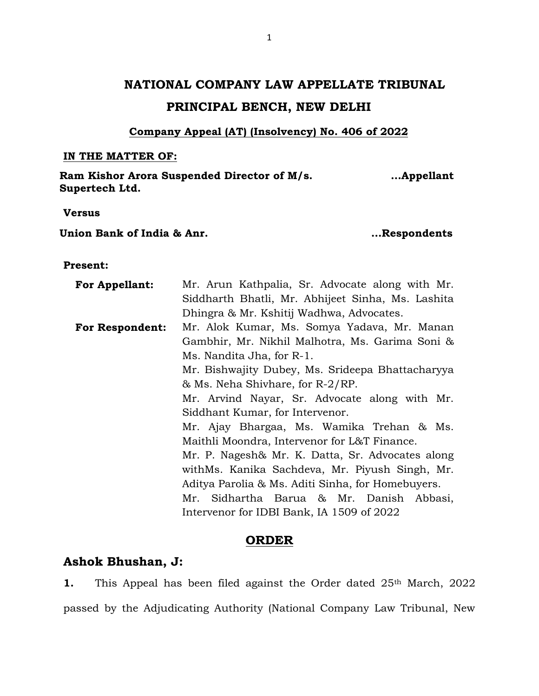# **NATIONAL COMPANY LAW APPELLATE TRIBUNAL PRINCIPAL BENCH, NEW DELHI**

## **Company Appeal (AT) (Insolvency) No. 406 of 2022**

### **IN THE MATTER OF:**

**Ram Kishor Arora Suspended Director of M/s. Supertech Ltd. …Appellant**

**Versus**

**Union Bank of India & Anr. …Respondents**

## **Present:**

| <b>For Appellant:</b>  | Mr. Arun Kathpalia, Sr. Advocate along with Mr.   |  |  |  |  |  |  |  |  |
|------------------------|---------------------------------------------------|--|--|--|--|--|--|--|--|
|                        | Siddharth Bhatli, Mr. Abhijeet Sinha, Ms. Lashita |  |  |  |  |  |  |  |  |
|                        | Dhingra & Mr. Kshitij Wadhwa, Advocates.          |  |  |  |  |  |  |  |  |
| <b>For Respondent:</b> | Mr. Alok Kumar, Ms. Somya Yadava, Mr. Manan       |  |  |  |  |  |  |  |  |
|                        | Gambhir, Mr. Nikhil Malhotra, Ms. Garima Soni &   |  |  |  |  |  |  |  |  |
|                        | Ms. Nandita Jha, for R-1.                         |  |  |  |  |  |  |  |  |
|                        | Mr. Bishwajity Dubey, Ms. Srideepa Bhattacharyya  |  |  |  |  |  |  |  |  |
|                        | & Ms. Neha Shivhare, for R-2/RP.                  |  |  |  |  |  |  |  |  |
|                        | Mr. Arvind Nayar, Sr. Advocate along with Mr.     |  |  |  |  |  |  |  |  |
|                        | Siddhant Kumar, for Intervenor.                   |  |  |  |  |  |  |  |  |
|                        | Mr. Ajay Bhargaa, Ms. Wamika Trehan & Ms.         |  |  |  |  |  |  |  |  |
|                        | Maithli Moondra, Intervenor for L&T Finance.      |  |  |  |  |  |  |  |  |
|                        | Mr. P. Nagesh& Mr. K. Datta, Sr. Advocates along  |  |  |  |  |  |  |  |  |
|                        | withMs. Kanika Sachdeva, Mr. Piyush Singh, Mr.    |  |  |  |  |  |  |  |  |
|                        | Aditya Parolia & Ms. Aditi Sinha, for Homebuyers. |  |  |  |  |  |  |  |  |
|                        | Mr. Sidhartha Barua & Mr. Danish Abbasi,          |  |  |  |  |  |  |  |  |
|                        | Intervenor for IDBI Bank, IA 1509 of 2022         |  |  |  |  |  |  |  |  |

### **ORDER**

# **Ashok Bhushan, J:**

**1.** This Appeal has been filed against the Order dated 25<sup>th</sup> March, 2022 passed by the Adjudicating Authority (National Company Law Tribunal, New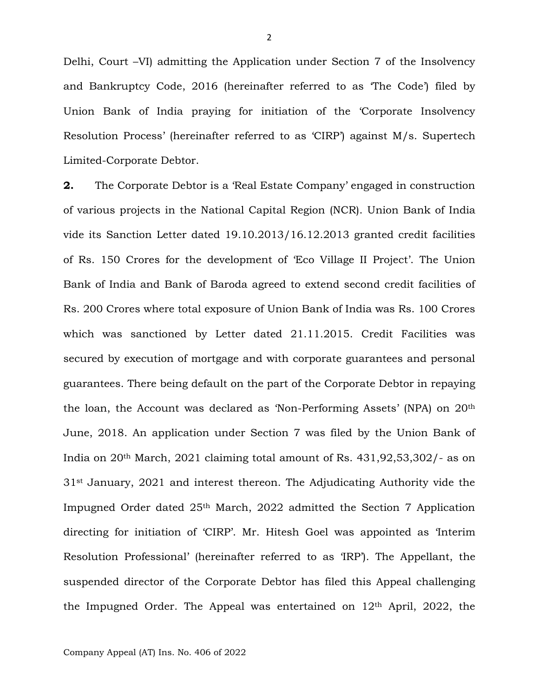Delhi, Court –VI) admitting the Application under Section 7 of the Insolvency and Bankruptcy Code, 2016 (hereinafter referred to as 'The Code') filed by Union Bank of India praying for initiation of the 'Corporate Insolvency Resolution Process' (hereinafter referred to as 'CIRP') against M/s. Supertech Limited-Corporate Debtor.

**2.** The Corporate Debtor is a 'Real Estate Company' engaged in construction of various projects in the National Capital Region (NCR). Union Bank of India vide its Sanction Letter dated 19.10.2013/16.12.2013 granted credit facilities of Rs. 150 Crores for the development of 'Eco Village II Project'. The Union Bank of India and Bank of Baroda agreed to extend second credit facilities of Rs. 200 Crores where total exposure of Union Bank of India was Rs. 100 Crores which was sanctioned by Letter dated 21.11.2015. Credit Facilities was secured by execution of mortgage and with corporate guarantees and personal guarantees. There being default on the part of the Corporate Debtor in repaying the loan, the Account was declared as 'Non-Performing Assets' (NPA) on 20th June, 2018. An application under Section 7 was filed by the Union Bank of India on 20th March, 2021 claiming total amount of Rs. 431,92,53,302/- as on 31st January, 2021 and interest thereon. The Adjudicating Authority vide the Impugned Order dated 25th March, 2022 admitted the Section 7 Application directing for initiation of 'CIRP'. Mr. Hitesh Goel was appointed as 'Interim Resolution Professional' (hereinafter referred to as 'IRP'). The Appellant, the suspended director of the Corporate Debtor has filed this Appeal challenging the Impugned Order. The Appeal was entertained on  $12<sup>th</sup>$  April, 2022, the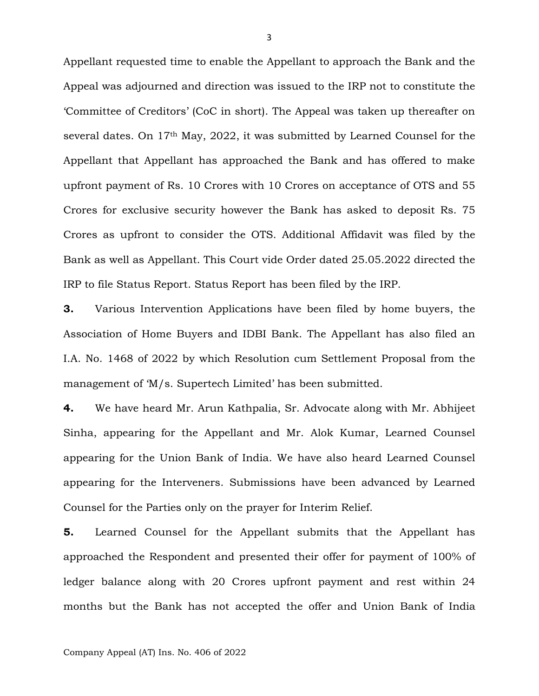Appellant requested time to enable the Appellant to approach the Bank and the Appeal was adjourned and direction was issued to the IRP not to constitute the 'Committee of Creditors' (CoC in short). The Appeal was taken up thereafter on several dates. On 17th May, 2022, it was submitted by Learned Counsel for the Appellant that Appellant has approached the Bank and has offered to make upfront payment of Rs. 10 Crores with 10 Crores on acceptance of OTS and 55 Crores for exclusive security however the Bank has asked to deposit Rs. 75 Crores as upfront to consider the OTS. Additional Affidavit was filed by the Bank as well as Appellant. This Court vide Order dated 25.05.2022 directed the IRP to file Status Report. Status Report has been filed by the IRP.

**3.** Various Intervention Applications have been filed by home buyers, the Association of Home Buyers and IDBI Bank. The Appellant has also filed an I.A. No. 1468 of 2022 by which Resolution cum Settlement Proposal from the management of 'M/s. Supertech Limited' has been submitted.

**4.** We have heard Mr. Arun Kathpalia, Sr. Advocate along with Mr. Abhijeet Sinha, appearing for the Appellant and Mr. Alok Kumar, Learned Counsel appearing for the Union Bank of India. We have also heard Learned Counsel appearing for the Interveners. Submissions have been advanced by Learned Counsel for the Parties only on the prayer for Interim Relief.

**5.** Learned Counsel for the Appellant submits that the Appellant has approached the Respondent and presented their offer for payment of 100% of ledger balance along with 20 Crores upfront payment and rest within 24 months but the Bank has not accepted the offer and Union Bank of India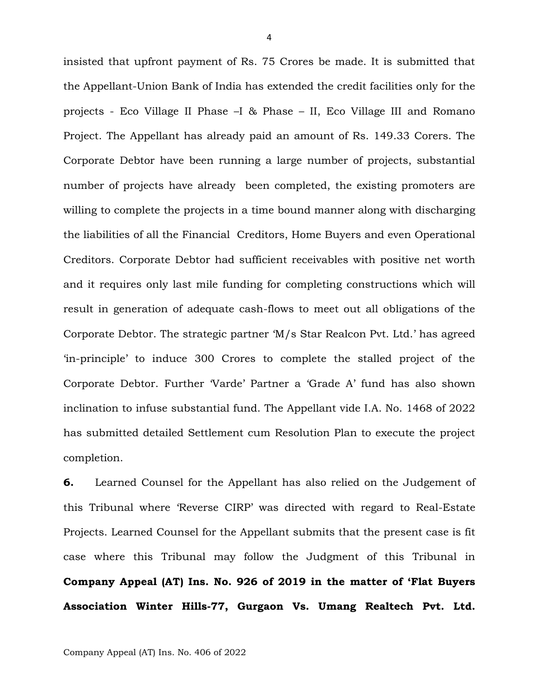insisted that upfront payment of Rs. 75 Crores be made. It is submitted that the Appellant-Union Bank of India has extended the credit facilities only for the projects - Eco Village II Phase –I & Phase – II, Eco Village III and Romano Project. The Appellant has already paid an amount of Rs. 149.33 Corers. The Corporate Debtor have been running a large number of projects, substantial number of projects have already been completed, the existing promoters are willing to complete the projects in a time bound manner along with discharging the liabilities of all the Financial Creditors, Home Buyers and even Operational Creditors. Corporate Debtor had sufficient receivables with positive net worth and it requires only last mile funding for completing constructions which will result in generation of adequate cash-flows to meet out all obligations of the Corporate Debtor. The strategic partner 'M/s Star Realcon Pvt. Ltd.' has agreed 'in-principle' to induce 300 Crores to complete the stalled project of the Corporate Debtor. Further 'Varde' Partner a 'Grade A' fund has also shown inclination to infuse substantial fund. The Appellant vide I.A. No. 1468 of 2022 has submitted detailed Settlement cum Resolution Plan to execute the project completion.

**6.** Learned Counsel for the Appellant has also relied on the Judgement of this Tribunal where 'Reverse CIRP' was directed with regard to Real-Estate Projects. Learned Counsel for the Appellant submits that the present case is fit case where this Tribunal may follow the Judgment of this Tribunal in **Company Appeal (AT) Ins. No. 926 of 2019 in the matter of 'Flat Buyers Association Winter Hills-77, Gurgaon Vs. Umang Realtech Pvt. Ltd.**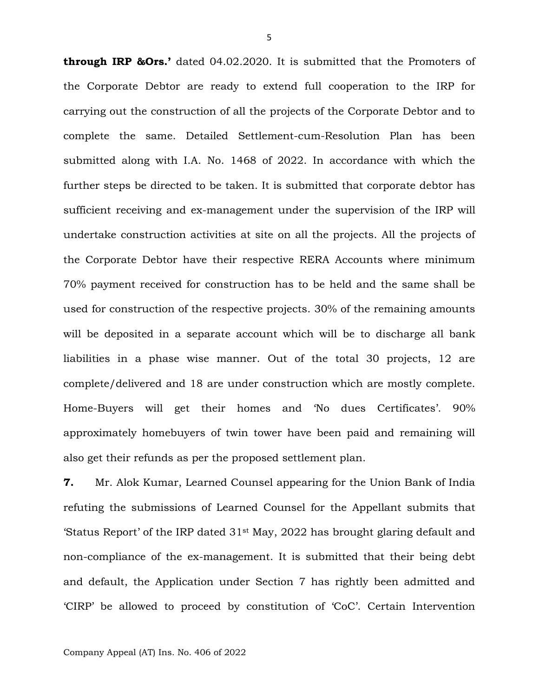**through IRP &Ors.'** dated 04.02.2020. It is submitted that the Promoters of the Corporate Debtor are ready to extend full cooperation to the IRP for carrying out the construction of all the projects of the Corporate Debtor and to complete the same. Detailed Settlement-cum-Resolution Plan has been submitted along with I.A. No. 1468 of 2022. In accordance with which the further steps be directed to be taken. It is submitted that corporate debtor has sufficient receiving and ex-management under the supervision of the IRP will undertake construction activities at site on all the projects. All the projects of the Corporate Debtor have their respective RERA Accounts where minimum 70% payment received for construction has to be held and the same shall be used for construction of the respective projects. 30% of the remaining amounts will be deposited in a separate account which will be to discharge all bank liabilities in a phase wise manner. Out of the total 30 projects, 12 are complete/delivered and 18 are under construction which are mostly complete. Home-Buyers will get their homes and 'No dues Certificates'. 90% approximately homebuyers of twin tower have been paid and remaining will also get their refunds as per the proposed settlement plan.

**7.** Mr. Alok Kumar, Learned Counsel appearing for the Union Bank of India refuting the submissions of Learned Counsel for the Appellant submits that 'Status Report' of the IRP dated 31st May, 2022 has brought glaring default and non-compliance of the ex-management. It is submitted that their being debt and default, the Application under Section 7 has rightly been admitted and 'CIRP' be allowed to proceed by constitution of 'CoC'. Certain Intervention

5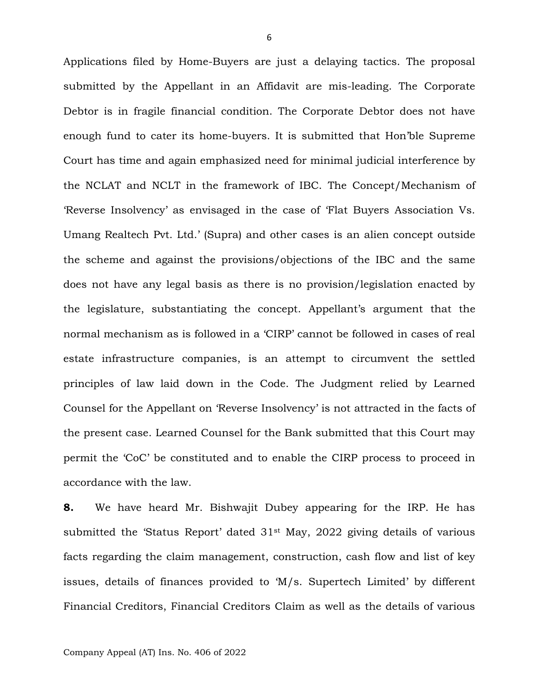Applications filed by Home-Buyers are just a delaying tactics. The proposal submitted by the Appellant in an Affidavit are mis-leading. The Corporate Debtor is in fragile financial condition. The Corporate Debtor does not have enough fund to cater its home-buyers. It is submitted that Hon'ble Supreme Court has time and again emphasized need for minimal judicial interference by the NCLAT and NCLT in the framework of IBC. The Concept/Mechanism of 'Reverse Insolvency' as envisaged in the case of 'Flat Buyers Association Vs. Umang Realtech Pvt. Ltd.' (Supra) and other cases is an alien concept outside the scheme and against the provisions/objections of the IBC and the same does not have any legal basis as there is no provision/legislation enacted by the legislature, substantiating the concept. Appellant's argument that the normal mechanism as is followed in a 'CIRP' cannot be followed in cases of real estate infrastructure companies, is an attempt to circumvent the settled principles of law laid down in the Code. The Judgment relied by Learned Counsel for the Appellant on 'Reverse Insolvency' is not attracted in the facts of the present case. Learned Counsel for the Bank submitted that this Court may permit the 'CoC' be constituted and to enable the CIRP process to proceed in accordance with the law.

**8.** We have heard Mr. Bishwajit Dubey appearing for the IRP. He has submitted the 'Status Report' dated 31st May, 2022 giving details of various facts regarding the claim management, construction, cash flow and list of key issues, details of finances provided to 'M/s. Supertech Limited' by different Financial Creditors, Financial Creditors Claim as well as the details of various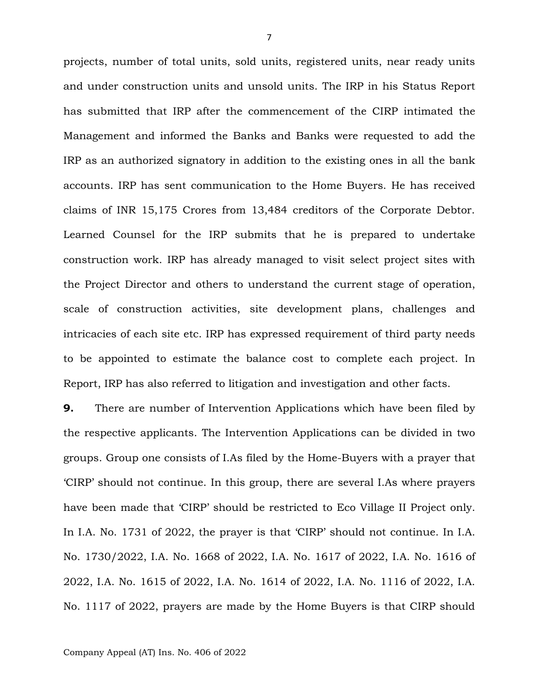projects, number of total units, sold units, registered units, near ready units and under construction units and unsold units. The IRP in his Status Report has submitted that IRP after the commencement of the CIRP intimated the Management and informed the Banks and Banks were requested to add the IRP as an authorized signatory in addition to the existing ones in all the bank accounts. IRP has sent communication to the Home Buyers. He has received claims of INR 15,175 Crores from 13,484 creditors of the Corporate Debtor. Learned Counsel for the IRP submits that he is prepared to undertake construction work. IRP has already managed to visit select project sites with the Project Director and others to understand the current stage of operation, scale of construction activities, site development plans, challenges and intricacies of each site etc. IRP has expressed requirement of third party needs to be appointed to estimate the balance cost to complete each project. In Report, IRP has also referred to litigation and investigation and other facts.

**9.** There are number of Intervention Applications which have been filed by the respective applicants. The Intervention Applications can be divided in two groups. Group one consists of I.As filed by the Home-Buyers with a prayer that 'CIRP' should not continue. In this group, there are several I.As where prayers have been made that 'CIRP' should be restricted to Eco Village II Project only. In I.A. No. 1731 of 2022, the prayer is that 'CIRP' should not continue. In I.A. No. 1730/2022, I.A. No. 1668 of 2022, I.A. No. 1617 of 2022, I.A. No. 1616 of 2022, I.A. No. 1615 of 2022, I.A. No. 1614 of 2022, I.A. No. 1116 of 2022, I.A. No. 1117 of 2022, prayers are made by the Home Buyers is that CIRP should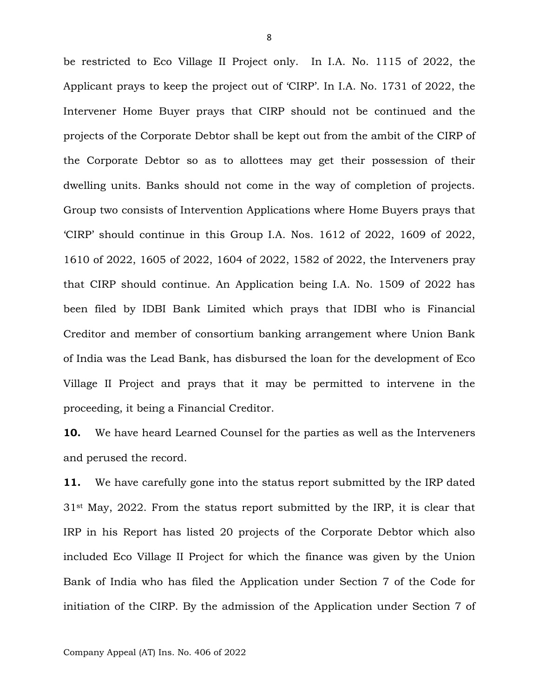be restricted to Eco Village II Project only. In I.A. No. 1115 of 2022, the Applicant prays to keep the project out of 'CIRP'. In I.A. No. 1731 of 2022, the Intervener Home Buyer prays that CIRP should not be continued and the projects of the Corporate Debtor shall be kept out from the ambit of the CIRP of the Corporate Debtor so as to allottees may get their possession of their dwelling units. Banks should not come in the way of completion of projects. Group two consists of Intervention Applications where Home Buyers prays that 'CIRP' should continue in this Group I.A. Nos. 1612 of 2022, 1609 of 2022, 1610 of 2022, 1605 of 2022, 1604 of 2022, 1582 of 2022, the Interveners pray that CIRP should continue. An Application being I.A. No. 1509 of 2022 has been filed by IDBI Bank Limited which prays that IDBI who is Financial Creditor and member of consortium banking arrangement where Union Bank of India was the Lead Bank, has disbursed the loan for the development of Eco Village II Project and prays that it may be permitted to intervene in the proceeding, it being a Financial Creditor.

**10.** We have heard Learned Counsel for the parties as well as the Interveners and perused the record.

**11.** We have carefully gone into the status report submitted by the IRP dated 31st May, 2022. From the status report submitted by the IRP, it is clear that IRP in his Report has listed 20 projects of the Corporate Debtor which also included Eco Village II Project for which the finance was given by the Union Bank of India who has filed the Application under Section 7 of the Code for initiation of the CIRP. By the admission of the Application under Section 7 of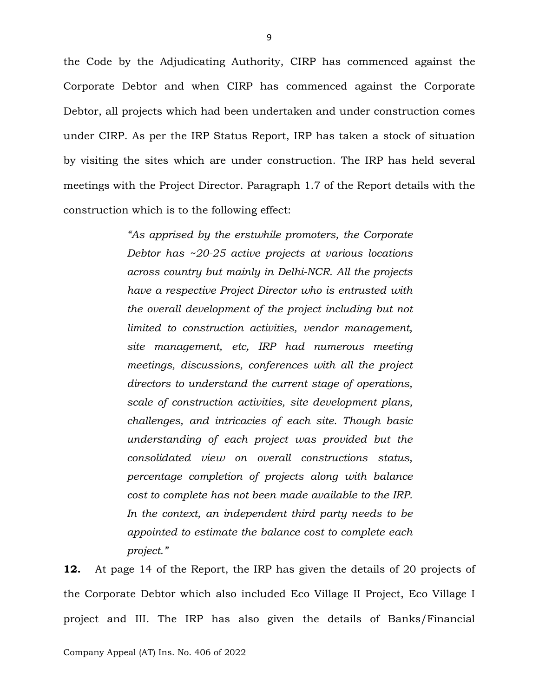the Code by the Adjudicating Authority, CIRP has commenced against the Corporate Debtor and when CIRP has commenced against the Corporate Debtor, all projects which had been undertaken and under construction comes under CIRP. As per the IRP Status Report, IRP has taken a stock of situation by visiting the sites which are under construction. The IRP has held several meetings with the Project Director. Paragraph 1.7 of the Report details with the construction which is to the following effect:

> *"As apprised by the erstwhile promoters, the Corporate Debtor has ~20-25 active projects at various locations across country but mainly in Delhi-NCR. All the projects have a respective Project Director who is entrusted with the overall development of the project including but not limited to construction activities, vendor management, site management, etc, IRP had numerous meeting meetings, discussions, conferences with all the project directors to understand the current stage of operations, scale of construction activities, site development plans, challenges, and intricacies of each site. Though basic understanding of each project was provided but the consolidated view on overall constructions status, percentage completion of projects along with balance cost to complete has not been made available to the IRP. In the context, an independent third party needs to be appointed to estimate the balance cost to complete each project."*

**12.** At page 14 of the Report, the IRP has given the details of 20 projects of the Corporate Debtor which also included Eco Village II Project, Eco Village I project and III. The IRP has also given the details of Banks/Financial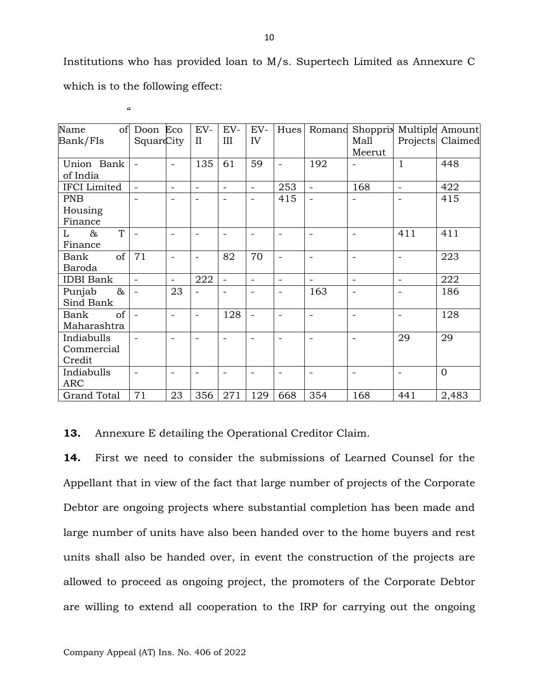Institutions who has provided loan to M/s. Supertech Limited as Annexure C which is to the following effect:

 $\alpha$ 

| Name<br>of          | Doon                     | Eco                      | EV-                      | EV-                      | EV-                      | Hues                     | Romano                   | Shopprix                 |                          | Multiple Amount  |
|---------------------|--------------------------|--------------------------|--------------------------|--------------------------|--------------------------|--------------------------|--------------------------|--------------------------|--------------------------|------------------|
| Bank/FIs            | SquareCity               |                          | $\mathbf{I}$             | III                      | IV                       |                          |                          | Mall                     |                          | Projects Claimed |
|                     |                          |                          |                          |                          |                          |                          |                          | Meerut                   |                          |                  |
| Union Bank          |                          |                          | 135                      | 61                       | 59                       |                          | 192                      | $\qquad \qquad -$        | $\mathbf{1}$             | 448              |
| of India            |                          |                          |                          |                          |                          |                          |                          |                          |                          |                  |
| <b>IFCI</b> Limited |                          | $\overline{\phantom{a}}$ | $\overline{\phantom{a}}$ | $\overline{a}$           | $\overline{\phantom{a}}$ | 253                      | $\overline{\phantom{0}}$ | 168                      | $\overline{\phantom{0}}$ | 422              |
| <b>PNB</b>          |                          |                          | $\overline{\phantom{0}}$ | $\overline{\phantom{0}}$ | $\overline{a}$           | 415                      | $\overline{\phantom{a}}$ | $\overline{\phantom{a}}$ |                          | 415              |
| Housing             |                          |                          |                          |                          |                          |                          |                          |                          |                          |                  |
| Finance             |                          |                          |                          |                          |                          |                          |                          |                          |                          |                  |
| T<br>$\&$<br>L      |                          |                          | $\overline{a}$           |                          |                          |                          | $\overline{\phantom{0}}$ |                          | 411                      | 411              |
| Finance             |                          |                          |                          |                          |                          |                          |                          |                          |                          |                  |
| of<br>Bank          | 71                       |                          | $\overline{\phantom{0}}$ | 82                       | 70                       |                          | $\overline{\phantom{0}}$ | $\overline{\phantom{a}}$ |                          | 223              |
| Baroda              |                          |                          |                          |                          |                          |                          |                          |                          |                          |                  |
| <b>IDBI</b> Bank    | $\overline{a}$           | $\overline{\phantom{0}}$ | 222                      | $\overline{a}$           | $\overline{\phantom{a}}$ | $\overline{\phantom{0}}$ |                          | $\overline{\phantom{a}}$ | $\overline{\phantom{0}}$ | 222              |
| $\&$<br>Punjab      |                          | 23                       |                          |                          |                          |                          | 163                      |                          |                          | 186              |
| Sind Bank           |                          |                          |                          |                          |                          |                          |                          |                          |                          |                  |
| of<br>Bank          | $\overline{\phantom{a}}$ | $\overline{\phantom{a}}$ | $\overline{\phantom{0}}$ | 128                      | $\overline{\phantom{0}}$ |                          | $\overline{\phantom{0}}$ | $\overline{\phantom{a}}$ |                          | 128              |
| Maharashtra         |                          |                          |                          |                          |                          |                          |                          |                          |                          |                  |
| Indiabulls          |                          |                          | $\overline{\phantom{0}}$ |                          | $\overline{a}$           |                          | $\overline{\phantom{0}}$ | $\overline{\phantom{a}}$ | 29                       | 29               |
| Commercial          |                          |                          |                          |                          |                          |                          |                          |                          |                          |                  |
| Credit              |                          |                          |                          |                          |                          |                          |                          |                          |                          |                  |
| Indiabulls          |                          |                          | $\overline{\phantom{0}}$ |                          |                          |                          | $\overline{\phantom{0}}$ | $\overline{\phantom{a}}$ |                          | $\overline{0}$   |
| <b>ARC</b>          |                          |                          |                          |                          |                          |                          |                          |                          |                          |                  |
| <b>Grand Total</b>  | 71                       | 23                       | 356                      | 271                      | 129                      | 668                      | 354                      | 168                      | 441                      | 2,483            |

**13.** Annexure E detailing the Operational Creditor Claim.

**14.** First we need to consider the submissions of Learned Counsel for the Appellant that in view of the fact that large number of projects of the Corporate Debtor are ongoing projects where substantial completion has been made and large number of units have also been handed over to the home buyers and rest units shall also be handed over, in event the construction of the projects are allowed to proceed as ongoing project, the promoters of the Corporate Debtor are willing to extend all cooperation to the IRP for carrying out the ongoing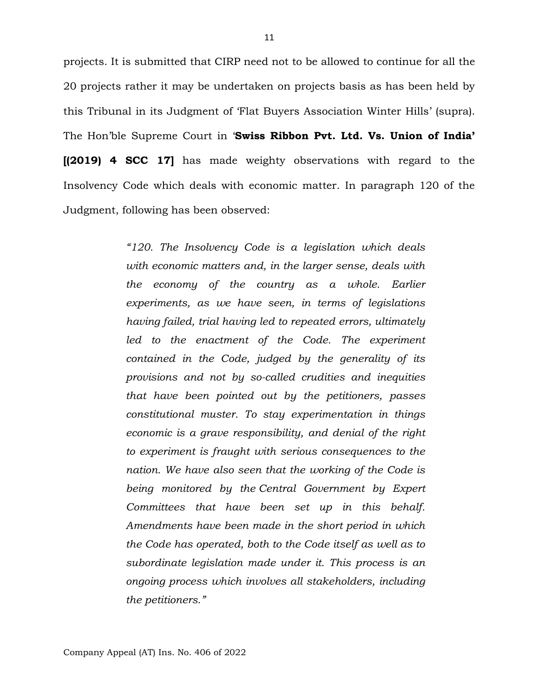projects. It is submitted that CIRP need not to be allowed to continue for all the 20 projects rather it may be undertaken on projects basis as has been held by this Tribunal in its Judgment of 'Flat Buyers Association Winter Hills' (supra). The Hon'ble Supreme Court in '**Swiss Ribbon Pvt. Ltd. Vs. Union of India' [(2019) 4 SCC 17]** has made weighty observations with regard to the Insolvency Code which deals with economic matter. In paragraph 120 of the Judgment, following has been observed:

> *"120. The Insolvency Code is a legislation which deals with economic matters and, in the larger sense, deals with the economy of the country as a whole. Earlier experiments, as we have seen, in terms of legislations having failed, trial having led to repeated errors, ultimately led to the enactment of the Code. The experiment contained in the Code, judged by the generality of its provisions and not by so-called crudities and inequities that have been pointed out by the petitioners, passes constitutional muster. To stay experimentation in things economic is a grave responsibility, and denial of the right to experiment is fraught with serious consequences to the nation. We have also seen that the working of the Code is being monitored by the Central Government by Expert Committees that have been set up in this behalf. Amendments have been made in the short period in which the Code has operated, both to the Code itself as well as to subordinate legislation made under it. This process is an ongoing process which involves all stakeholders, including the petitioners."*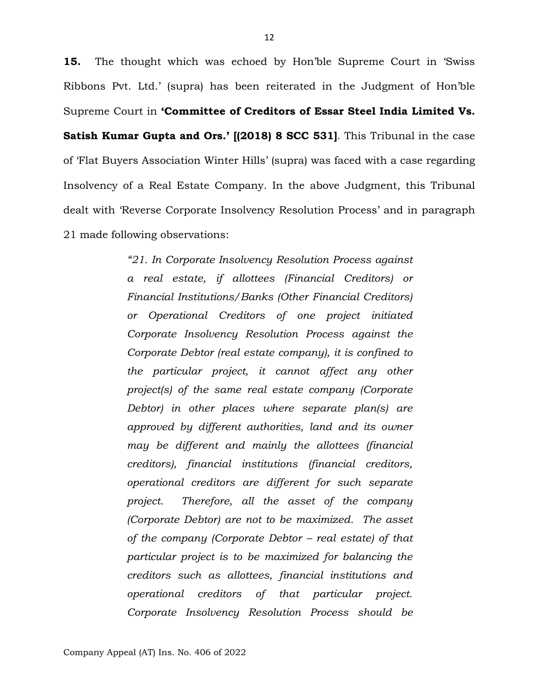**15.** The thought which was echoed by Hon'ble Supreme Court in 'Swiss Ribbons Pvt. Ltd.' (supra) has been reiterated in the Judgment of Hon'ble Supreme Court in **'Committee of Creditors of Essar Steel India Limited Vs. Satish Kumar Gupta and Ors.' [(2018) 8 SCC 531]**. This Tribunal in the case of 'Flat Buyers Association Winter Hills' (supra) was faced with a case regarding Insolvency of a Real Estate Company. In the above Judgment, this Tribunal dealt with 'Reverse Corporate Insolvency Resolution Process' and in paragraph 21 made following observations:

> *"21. In Corporate Insolvency Resolution Process against a real estate, if allottees (Financial Creditors) or Financial Institutions/Banks (Other Financial Creditors) or Operational Creditors of one project initiated Corporate Insolvency Resolution Process against the Corporate Debtor (real estate company), it is confined to the particular project, it cannot affect any other project(s) of the same real estate company (Corporate Debtor) in other places where separate plan(s) are approved by different authorities, land and its owner may be different and mainly the allottees (financial creditors), financial institutions (financial creditors, operational creditors are different for such separate project. Therefore, all the asset of the company (Corporate Debtor) are not to be maximized. The asset of the company (Corporate Debtor – real estate) of that particular project is to be maximized for balancing the creditors such as allottees, financial institutions and operational creditors of that particular project. Corporate Insolvency Resolution Process should be*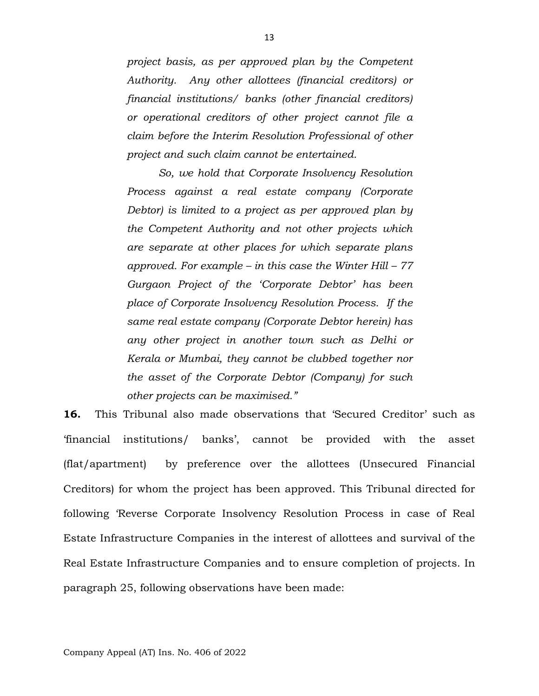*project basis, as per approved plan by the Competent Authority. Any other allottees (financial creditors) or financial institutions/ banks (other financial creditors) or operational creditors of other project cannot file a claim before the Interim Resolution Professional of other project and such claim cannot be entertained.* 

*So, we hold that Corporate Insolvency Resolution Process against a real estate company (Corporate Debtor) is limited to a project as per approved plan by the Competent Authority and not other projects which are separate at other places for which separate plans approved. For example – in this case the Winter Hill – 77 Gurgaon Project of the 'Corporate Debtor' has been place of Corporate Insolvency Resolution Process. If the same real estate company (Corporate Debtor herein) has any other project in another town such as Delhi or Kerala or Mumbai, they cannot be clubbed together nor the asset of the Corporate Debtor (Company) for such other projects can be maximised."*

**16.** This Tribunal also made observations that 'Secured Creditor' such as 'financial institutions/ banks', cannot be provided with the asset (flat/apartment) by preference over the allottees (Unsecured Financial Creditors) for whom the project has been approved. This Tribunal directed for following 'Reverse Corporate Insolvency Resolution Process in case of Real Estate Infrastructure Companies in the interest of allottees and survival of the Real Estate Infrastructure Companies and to ensure completion of projects. In paragraph 25, following observations have been made: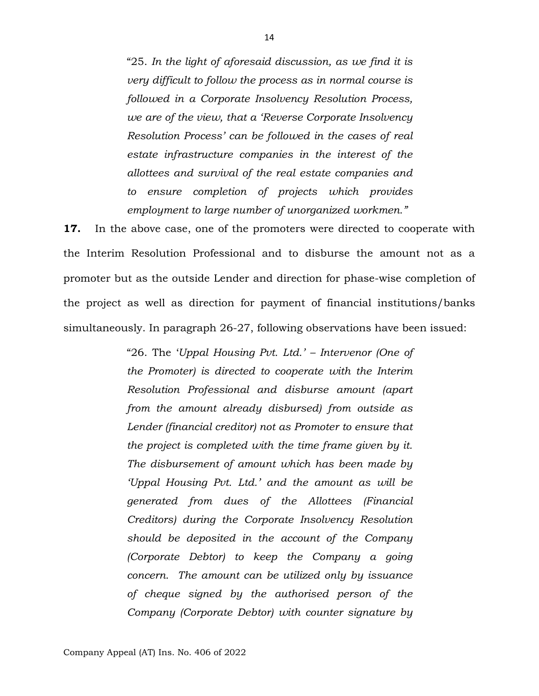"25. *In the light of aforesaid discussion, as we find it is very difficult to follow the process as in normal course is followed in a Corporate Insolvency Resolution Process, we are of the view, that a 'Reverse Corporate Insolvency Resolution Process' can be followed in the cases of real estate infrastructure companies in the interest of the allottees and survival of the real estate companies and to ensure completion of projects which provides employment to large number of unorganized workmen."*

**17.** In the above case, one of the promoters were directed to cooperate with the Interim Resolution Professional and to disburse the amount not as a promoter but as the outside Lender and direction for phase-wise completion of the project as well as direction for payment of financial institutions/banks simultaneously. In paragraph 26-27, following observations have been issued:

> "26. The '*Uppal Housing Pvt. Ltd.' – Intervenor (One of the Promoter) is directed to cooperate with the Interim Resolution Professional and disburse amount (apart from the amount already disbursed) from outside as Lender (financial creditor) not as Promoter to ensure that the project is completed with the time frame given by it. The disbursement of amount which has been made by 'Uppal Housing Pvt. Ltd.' and the amount as will be generated from dues of the Allottees (Financial Creditors) during the Corporate Insolvency Resolution should be deposited in the account of the Company (Corporate Debtor) to keep the Company a going concern. The amount can be utilized only by issuance of cheque signed by the authorised person of the Company (Corporate Debtor) with counter signature by*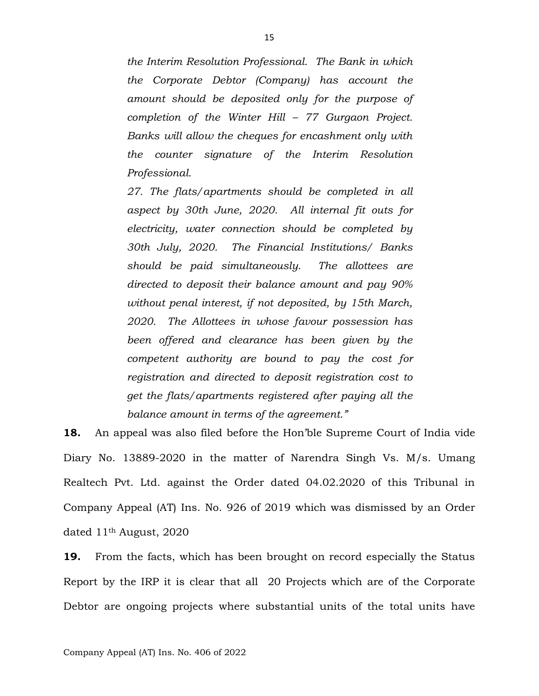*the Interim Resolution Professional. The Bank in which the Corporate Debtor (Company) has account the amount should be deposited only for the purpose of completion of the Winter Hill – 77 Gurgaon Project. Banks will allow the cheques for encashment only with the counter signature of the Interim Resolution Professional.* 

*27. The flats/apartments should be completed in all aspect by 30th June, 2020. All internal fit outs for electricity, water connection should be completed by 30th July, 2020. The Financial Institutions/ Banks should be paid simultaneously. The allottees are directed to deposit their balance amount and pay 90% without penal interest, if not deposited, by 15th March, 2020. The Allottees in whose favour possession has been offered and clearance has been given by the competent authority are bound to pay the cost for registration and directed to deposit registration cost to get the flats/apartments registered after paying all the balance amount in terms of the agreement."*

**18.** An appeal was also filed before the Hon'ble Supreme Court of India vide Diary No. 13889-2020 in the matter of Narendra Singh Vs. M/s. Umang Realtech Pvt. Ltd. against the Order dated 04.02.2020 of this Tribunal in Company Appeal (AT) Ins. No. 926 of 2019 which was dismissed by an Order dated 11th August, 2020

**19.** From the facts, which has been brought on record especially the Status Report by the IRP it is clear that all 20 Projects which are of the Corporate Debtor are ongoing projects where substantial units of the total units have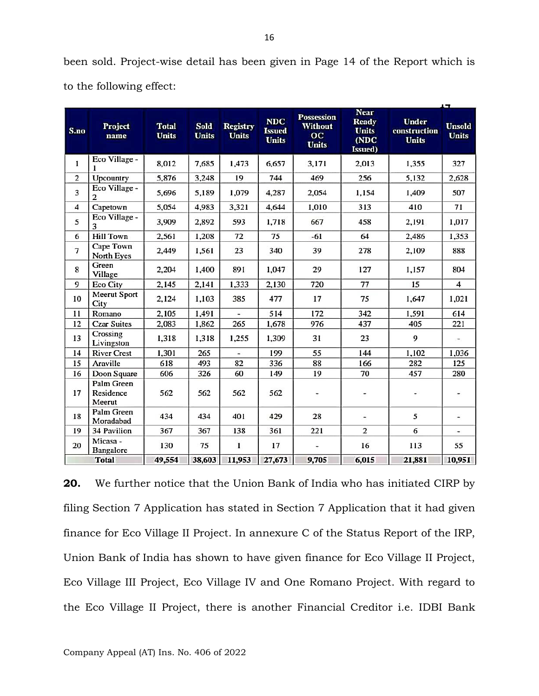been sold. Project-wise detail has been given in Page 14 of the Report which is to the following effect:

| S.no           | Project<br>name                   | <b>Total</b><br><b>Units</b> | <b>Sold</b><br><b>Units</b> | <b>Registry</b><br><b>Units</b> | <b>NDC</b><br><b>Issued</b><br><b>Units</b> | <b>Possession</b><br><b>Without</b><br>oc<br><b>Units</b> | <b>Near</b><br><b>Ready</b><br><b>Units</b><br>(NDC<br>Issued) | <b>Under</b><br>construction<br><b>Units</b> | u<br><b>Unsold</b><br><b>Units</b> |
|----------------|-----------------------------------|------------------------------|-----------------------------|---------------------------------|---------------------------------------------|-----------------------------------------------------------|----------------------------------------------------------------|----------------------------------------------|------------------------------------|
| 1              | Eco Village -<br>1                | 8,012                        | 7,685                       | 1,473                           | 6,657                                       | 3,171                                                     | 2,013                                                          | 1,355                                        | 327                                |
| $\overline{c}$ | Upcountry                         | 5,876                        | 3,248                       | 19                              | 744                                         | 469                                                       | 256                                                            | 5.132                                        | 2,628                              |
| 3              | Eco Village -<br>2                | 5,696                        | 5.189                       | 1,079                           | 4,287                                       | 2,054                                                     | 1,154                                                          | 1,409                                        | 507                                |
| 4              | Capetown                          | 5,054                        | 4,983                       | 3,321                           | 4,644                                       | 1,010                                                     | 313                                                            | 410                                          | 71                                 |
| 5              | Eco Village -<br>3                | 3,909                        | 2,892                       | 593                             | 1,718                                       | 667                                                       | 458                                                            | 2,191                                        | 1,017                              |
| 6              | <b>Hill Town</b>                  | 2,561                        | 1,208                       | 72                              | 75                                          | $-61$                                                     | 64                                                             | 2,486                                        | 1,353                              |
| $\overline{7}$ | Cape Town<br>North Eyes           | 2,449                        | 1,561                       | 23                              | 340                                         | 39                                                        | 278                                                            | 2,109                                        | 888                                |
| 8              | Green<br>Village                  | 2,204                        | 1,400                       | 891                             | 1,047                                       | 29                                                        | 127                                                            | 1,157                                        | 804                                |
| 9              | <b>Eco City</b>                   | 2,145                        | 2,141                       | 1,333                           | 2,130                                       | 720                                                       | 77                                                             | 15                                           | $\overline{4}$                     |
| 10             | <b>Meerut Sport</b><br>City       | 2,124                        | 1,103                       | 385                             | 477                                         | 17                                                        | 75                                                             | 1,647                                        | 1,021                              |
| 11             | Romano                            | 2,105                        | 1,491                       |                                 | 514                                         | 172                                                       | 342                                                            | 1,591                                        | 614                                |
| 12             | <b>Czar Suites</b>                | 2,083                        | 1,862                       | 265                             | 1,678                                       | 976                                                       | 437                                                            | 405                                          | 221                                |
| 13             | Crossing<br>Livingston            | 1,318                        | 1,318                       | 1,255                           | 1,309                                       | 31                                                        | 23                                                             | 9                                            | $\overline{\phantom{a}}$           |
| 14             | <b>River Crest</b>                | 1,301                        | 265                         |                                 | 199                                         | 55                                                        | 144                                                            | 1,102                                        | 1,036                              |
| 15             | Araville                          | 618                          | 493                         | 82                              | 336                                         | 88                                                        | 166                                                            | 282                                          | 125                                |
| 16             | Doon Square                       | 606                          | 326                         | 60                              | 149                                         | 19                                                        | 70                                                             | 457                                          | 280                                |
| 17             | Palm Green<br>Residence<br>Meerut | 562                          | 562                         | 562                             | 562                                         |                                                           |                                                                | -                                            | $\overline{\phantom{a}}$           |
| 18             | Palm Green<br>Moradabad           | 434                          | 434                         | 401                             | 429                                         | 28                                                        | $\overline{\phantom{a}}$                                       | 5                                            | $\overline{\phantom{0}}$           |
| 19             | <b>34 Pavilion</b>                | 367                          | 367                         | 138                             | 361                                         | 221                                                       | $\overline{2}$                                                 | 6                                            | ٠                                  |
| 20             | Micasa -<br>Bangalore             | 130                          | 75                          | $\mathbf{1}$                    | 17                                          |                                                           | 16                                                             | 113                                          | 55                                 |
|                | <b>Total</b>                      | 49,554                       | 38,603                      | 11,953                          | 27,673                                      | 9,705                                                     | 6,015                                                          | 21,881                                       | 10,951                             |

**20.** We further notice that the Union Bank of India who has initiated CIRP by filing Section 7 Application has stated in Section 7 Application that it had given finance for Eco Village II Project. In annexure C of the Status Report of the IRP, Union Bank of India has shown to have given finance for Eco Village II Project, Eco Village III Project, Eco Village IV and One Romano Project. With regard to the Eco Village II Project, there is another Financial Creditor i.e. IDBI Bank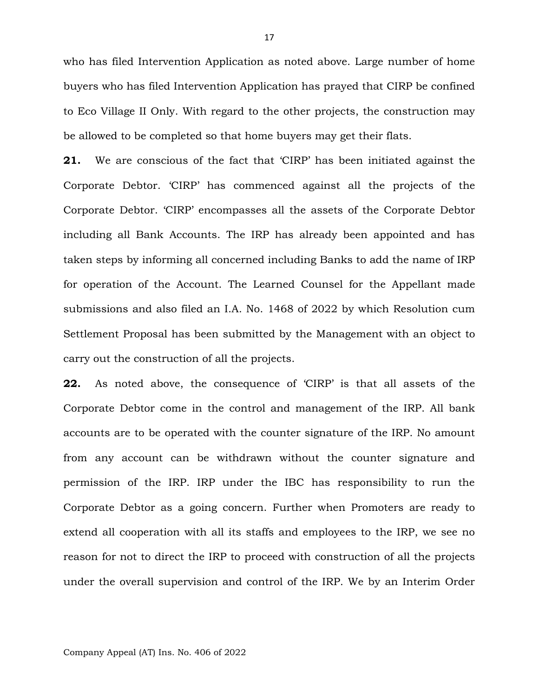who has filed Intervention Application as noted above. Large number of home buyers who has filed Intervention Application has prayed that CIRP be confined to Eco Village II Only. With regard to the other projects, the construction may be allowed to be completed so that home buyers may get their flats.

**21.** We are conscious of the fact that 'CIRP' has been initiated against the Corporate Debtor. 'CIRP' has commenced against all the projects of the Corporate Debtor. 'CIRP' encompasses all the assets of the Corporate Debtor including all Bank Accounts. The IRP has already been appointed and has taken steps by informing all concerned including Banks to add the name of IRP for operation of the Account. The Learned Counsel for the Appellant made submissions and also filed an I.A. No. 1468 of 2022 by which Resolution cum Settlement Proposal has been submitted by the Management with an object to carry out the construction of all the projects.

**22.** As noted above, the consequence of 'CIRP' is that all assets of the Corporate Debtor come in the control and management of the IRP. All bank accounts are to be operated with the counter signature of the IRP. No amount from any account can be withdrawn without the counter signature and permission of the IRP. IRP under the IBC has responsibility to run the Corporate Debtor as a going concern. Further when Promoters are ready to extend all cooperation with all its staffs and employees to the IRP, we see no reason for not to direct the IRP to proceed with construction of all the projects under the overall supervision and control of the IRP. We by an Interim Order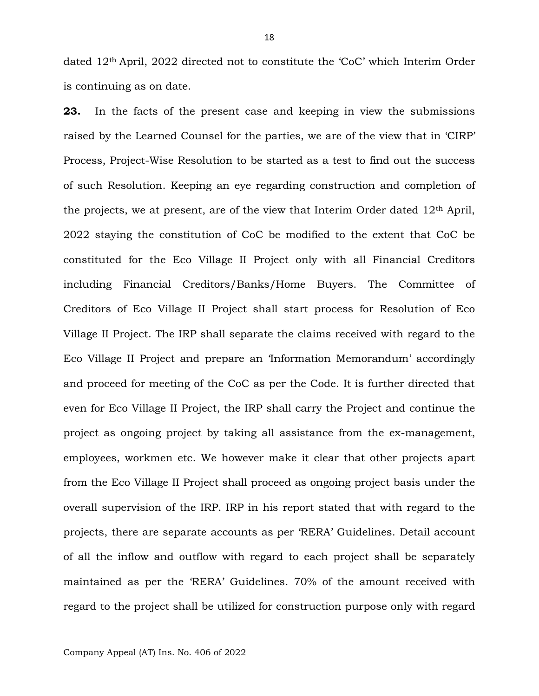dated 12th April, 2022 directed not to constitute the 'CoC' which Interim Order is continuing as on date.

**23.** In the facts of the present case and keeping in view the submissions raised by the Learned Counsel for the parties, we are of the view that in 'CIRP' Process, Project-Wise Resolution to be started as a test to find out the success of such Resolution. Keeping an eye regarding construction and completion of the projects, we at present, are of the view that Interim Order dated 12th April, 2022 staying the constitution of CoC be modified to the extent that CoC be constituted for the Eco Village II Project only with all Financial Creditors including Financial Creditors/Banks/Home Buyers. The Committee of Creditors of Eco Village II Project shall start process for Resolution of Eco Village II Project. The IRP shall separate the claims received with regard to the Eco Village II Project and prepare an 'Information Memorandum' accordingly and proceed for meeting of the CoC as per the Code. It is further directed that even for Eco Village II Project, the IRP shall carry the Project and continue the project as ongoing project by taking all assistance from the ex-management, employees, workmen etc. We however make it clear that other projects apart from the Eco Village II Project shall proceed as ongoing project basis under the overall supervision of the IRP. IRP in his report stated that with regard to the projects, there are separate accounts as per 'RERA' Guidelines. Detail account of all the inflow and outflow with regard to each project shall be separately maintained as per the 'RERA' Guidelines. 70% of the amount received with regard to the project shall be utilized for construction purpose only with regard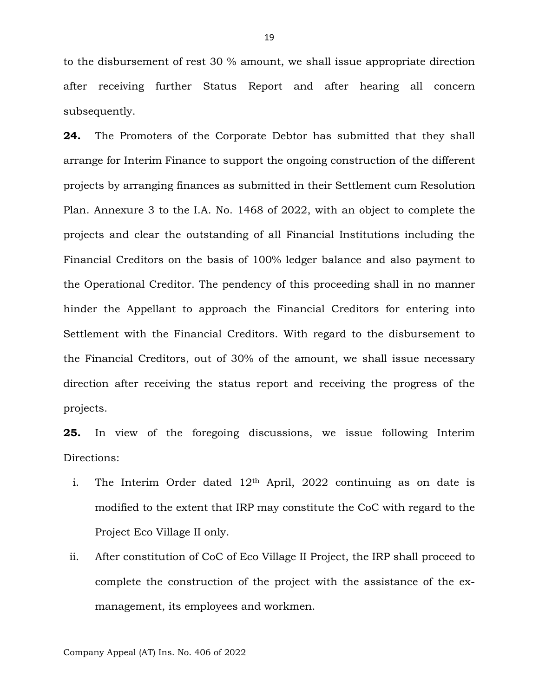to the disbursement of rest 30 % amount, we shall issue appropriate direction after receiving further Status Report and after hearing all concern subsequently.

**24.** The Promoters of the Corporate Debtor has submitted that they shall arrange for Interim Finance to support the ongoing construction of the different projects by arranging finances as submitted in their Settlement cum Resolution Plan. Annexure 3 to the I.A. No. 1468 of 2022, with an object to complete the projects and clear the outstanding of all Financial Institutions including the Financial Creditors on the basis of 100% ledger balance and also payment to the Operational Creditor. The pendency of this proceeding shall in no manner hinder the Appellant to approach the Financial Creditors for entering into Settlement with the Financial Creditors. With regard to the disbursement to the Financial Creditors, out of 30% of the amount, we shall issue necessary direction after receiving the status report and receiving the progress of the projects.

**25.** In view of the foregoing discussions, we issue following Interim Directions:

- i. The Interim Order dated 12<sup>th</sup> April, 2022 continuing as on date is modified to the extent that IRP may constitute the CoC with regard to the Project Eco Village II only.
- ii. After constitution of CoC of Eco Village II Project, the IRP shall proceed to complete the construction of the project with the assistance of the exmanagement, its employees and workmen.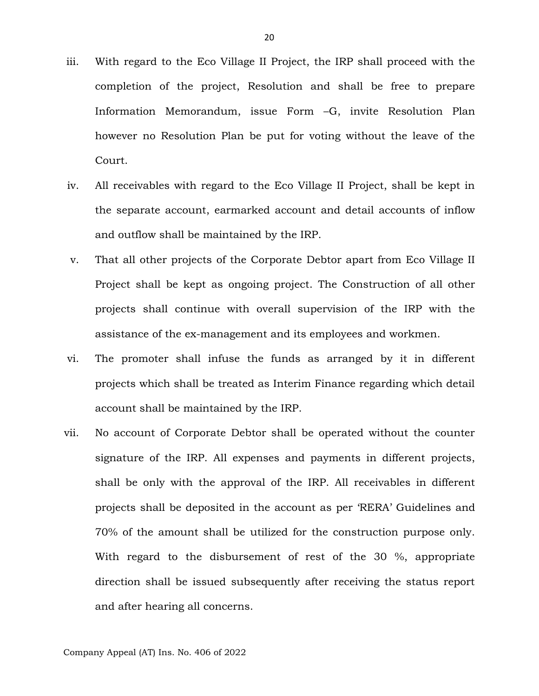- iii. With regard to the Eco Village II Project, the IRP shall proceed with the completion of the project, Resolution and shall be free to prepare Information Memorandum, issue Form –G, invite Resolution Plan however no Resolution Plan be put for voting without the leave of the Court.
- iv. All receivables with regard to the Eco Village II Project, shall be kept in the separate account, earmarked account and detail accounts of inflow and outflow shall be maintained by the IRP.
- v. That all other projects of the Corporate Debtor apart from Eco Village II Project shall be kept as ongoing project. The Construction of all other projects shall continue with overall supervision of the IRP with the assistance of the ex-management and its employees and workmen.
- vi. The promoter shall infuse the funds as arranged by it in different projects which shall be treated as Interim Finance regarding which detail account shall be maintained by the IRP.
- vii. No account of Corporate Debtor shall be operated without the counter signature of the IRP. All expenses and payments in different projects, shall be only with the approval of the IRP. All receivables in different projects shall be deposited in the account as per 'RERA' Guidelines and 70% of the amount shall be utilized for the construction purpose only. With regard to the disbursement of rest of the 30 %, appropriate direction shall be issued subsequently after receiving the status report and after hearing all concerns.